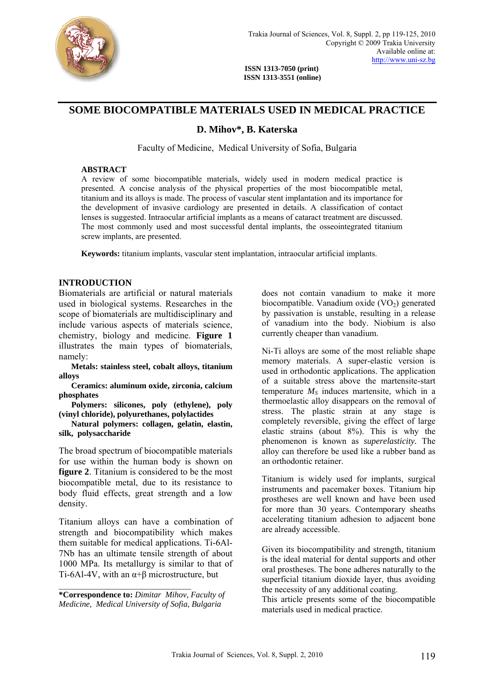

**ISSN 1313-7050 (print) ISSN 1313-3551 (online)** 

# **SOME BIOCOMPATIBLE MATERIALS USED IN MEDICAL PRACTICE**

# **D. Mihov\*, B. Katerska**

Faculty of Medicine, Medical University of Sofia, Bulgaria

#### **ABSTRACT**

A review of some biocompatible materials, widely used in modern medical practice is presented. A concise analysis of the physical properties of the most biocompatible metal, titanium and its alloys is made. The process of vascular stent implantation and its importance for the development of invasive cardiology are presented in details. A classification of contact lenses is suggested. Intraocular artificial implants as a means of cataract treatment are discussed. The most commonly used and most successful dental implants, the osseointegrated titanium screw implants, are presented.

**Keywords:** titanium implants, vascular stent implantation, intraocular artificial implants.

### **INTRODUCTION**

Biomaterials are artificial or natural materials used in biological systems. Researches in the scope of biomaterials are multidisciplinary and include various aspects of materials science, chemistry, biology and medicine. **Figure 1**  illustrates the main types of biomaterials, namely:

 **Metals: stainless steel, cobalt alloys, titanium alloys** 

 **Ceramics: aluminum oxide, zirconia, calcium phosphates** 

 **Polymers: silicones, poly (ethylene), poly (vinyl chloride), polyurethanes, polylactides** 

 **Natural polymers: collagen, gelatin, elastin, silk, polysaccharide** 

The broad spectrum of biocompatible materials for use within the human body is shown on **figure 2**. Titanium is considered to be the most biocompatible metal, due to its resistance to body fluid effects, great strength and a low density.

Titanium alloys can have a combination of strength and biocompatibility which makes them suitable for medical applications. Ti-6Al-7Nb has an ultimate tensile strength of about 1000 MPa. Its metallurgy is similar to that of Ti-6Al-4V, with an  $\alpha$ + $\beta$  microstructure, but

**\*Correspondence to:** *Dimitar Mihov, Faculty of Medicine, Medical University of Sofia, Bulgaria* 

 $\mathcal{L}_\text{max}$ 

does not contain vanadium to make it more biocompatible. Vanadium oxide  $(VO<sub>2</sub>)$  generated by passivation is unstable, resulting in a release of vanadium into the body. Niobium is also currently cheaper than vanadium.

Ni-Ti alloys are some of the most reliable shape memory materials. A super-elastic version is used in orthodontic applications. The application of a suitable stress above the martensite-start temperature  $M<sub>S</sub>$  induces martensite, which in a thermoelastic alloy disappears on the removal of stress. The plastic strain at any stage is completely reversible, giving the effect of large elastic strains (about 8%). This is why the phenomenon is known as *superelasticity.* The alloy can therefore be used like a rubber band as an orthodontic retainer.

Titanium is widely used for implants, surgical instruments and pacemaker boxes. Titanium hip prostheses are well known and have been used for more than 30 years. Contemporary sheaths accelerating titanium adhesion to adjacent bone are already accessible.

Given its biocompatibility and strength, titanium is the ideal material for dental supports and other oral prostheses. The bone adheres naturally to the superficial titanium dioxide layer, thus avoiding the necessity of any additional coating.

This article presents some of the biocompatible materials used in medical practice.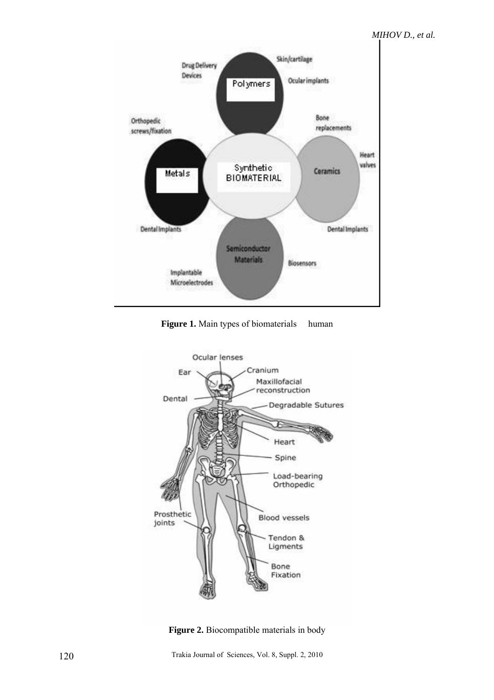

**Figure 1.** Main types of biomaterials human



**Figure 2.** Biocompatible materials in body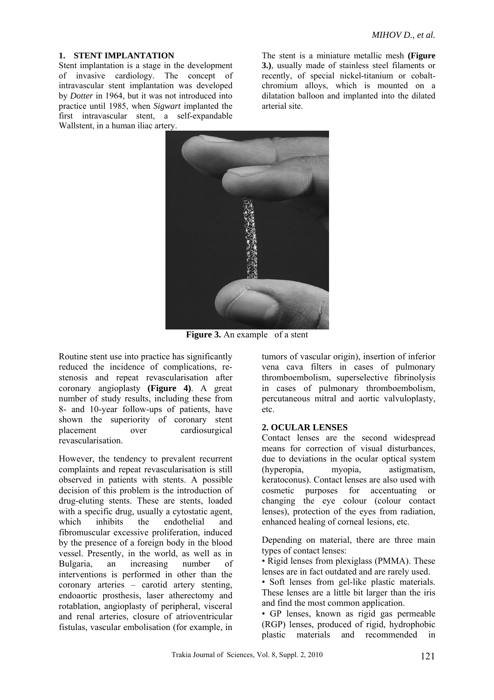#### **1. STENT IMPLANTATION**

Stent implantation is a stage in the development of invasive cardiology. The concept of intravascular stent implantation was developed by *Dotter* in 1964, but it was not introduced into practice until 1985, when *Sigwart* implanted the first intravascular stent, a self-expandable Wallstent, in a human iliac artery.

The stent is a miniature metallic mesh **(Figure 3.)**, usually made of stainless steel filaments or recently, of special nickel-titanium or cobaltchromium alloys, which is mounted on a dilatation balloon and implanted into the dilated arterial site.



**Figure 3.** An example of a stent

Routine stent use into practice has significantly reduced the incidence of complications, restenosis and repeat revascularisation after coronary angioplasty **(Figure 4)**. A great number of study results, including these from 8- and 10-year follow-ups of patients, have shown the superiority of coronary stent placement over cardiosurgical revascularisation.

However, the tendency to prevalent recurrent complaints and repeat revascularisation is still observed in patients with stents. A possible decision of this problem is the introduction of drug-eluting stents. These are stents, loaded with a specific drug, usually a cytostatic agent, which inhibits the endothelial and fibromuscular excessive proliferation, induced by the presence of a foreign body in the blood vessel. Presently, in the world, as well as in Bulgaria, an increasing number of interventions is performed in other than the coronary arteries – carotid artery stenting, endoaortic prosthesis, laser atherectomy and rotablation, angioplasty of peripheral, visceral and renal arteries, closure of atrioventricular fistulas, vascular embolisation (for example, in

tumors of vascular origin), insertion of inferior vena cava filters in cases of pulmonary thromboembolism, superselective fibrinolysis in cases of pulmonary thromboembolism, percutaneous mitral and aortic valvuloplasty, etc.

### **2. OCULAR LENSES**

Contact lenses are the second widespread means for correction of visual disturbances, due to deviations in the ocular optical system (hyperopia, myopia, astigmatism, keratoconus). Contact lenses are also used with cosmetic purposes for accentuating or changing the eye colour (colour contact lenses), protection of the eyes from radiation, enhanced healing of corneal lesions, etc.

Depending on material, there are three main types of contact lenses:

• Rigid lenses from plexiglass (PMMA). These lenses are in fact outdated and are rarely used.

• Soft lenses from gel-like plastic materials. These lenses are a little bit larger than the iris and find the most common application.

• GP lenses, known as rigid gas permeable (RGP) lenses, produced of rigid, hydrophobic plastic materials and recommended in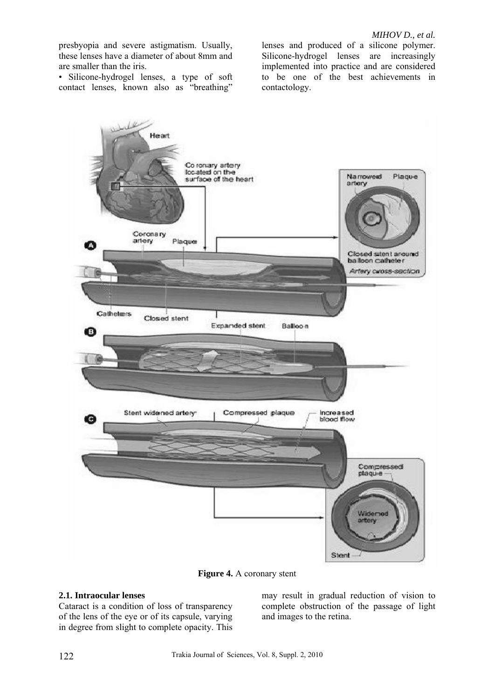*MIHOV D., et al.* 

presbyopia and severe astigmatism. Usually, these lenses have a diameter of about 8mm and are smaller than the iris.

• Silicone-hydrogel lenses, a type of soft contact lenses, known also as "breathing"

lenses and produced of a silicone polymer. Silicone-hydrogel lenses are increasingly implemented into practice and are considered to be one of the best achievements in contactology.



**Figure 4.** A coronary stent

## **2.1. Intraocular lenses**

Cataract is a condition of loss of transparency of the lens of the eye or of its capsule, varying in degree from slight to complete opacity. This

may result in gradual reduction of vision to complete obstruction of the passage of light and images to the retina.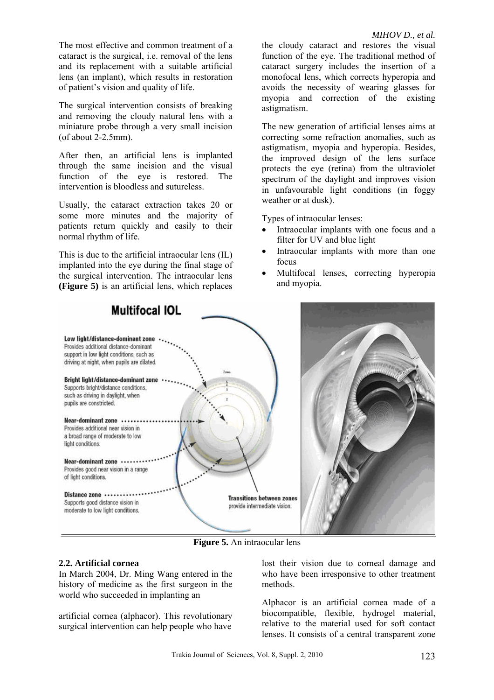The most effective and common treatment of a cataract is the surgical, i.e. removal of the lens and its replacement with a suitable artificial lens (an implant), which results in restoration of patient's vision and quality of life.

The surgical intervention consists of breaking and removing the cloudy natural lens with a miniature probe through a very small incision (of about 2-2.5mm).

After then, an artificial lens is implanted through the same incision and the visual function of the eye is restored. The intervention is bloodless and sutureless.

Usually, the cataract extraction takes 20 or some more minutes and the majority of patients return quickly and easily to their normal rhythm of life.

This is due to the artificial intraocular lens (IL) implanted into the eye during the final stage of the surgical intervention. The intraocular lens **(Figure 5)** is an artificial lens, which replaces

the cloudy cataract and restores the visual function of the eye. The traditional method of cataract surgery includes the insertion of a monofocal lens, which corrects hyperopia and avoids the necessity of wearing glasses for myopia and correction of the existing astigmatism.

The new generation of artificial lenses aims at correcting some refraction anomalies, such as astigmatism, myopia and hyperopia. Besides, the improved design of the lens surface protects the eye (retina) from the ultraviolet spectrum of the daylight and improves vision in unfavourable light conditions (in foggy weather or at dusk).

Types of intraocular lenses:

- Intraocular implants with one focus and a filter for UV and blue light
- Intraocular implants with more than one focus
- Multifocal lenses, correcting hyperopia and myopia.



**Figure 5.** An intraocular lens

### **2.2. Artificial cornea**

In March 2004, Dr. Ming Wang entered in the history of medicine as the first surgeon in the world who succeeded in implanting an

artificial cornea (alphacor). This revolutionary surgical intervention can help people who have lost their vision due to corneal damage and who have been irresponsive to other treatment methods.

Alphacor is an artificial cornea made of a biocompatible, flexible, hydrogel material, relative to the material used for soft contact lenses. It consists of a central transparent zone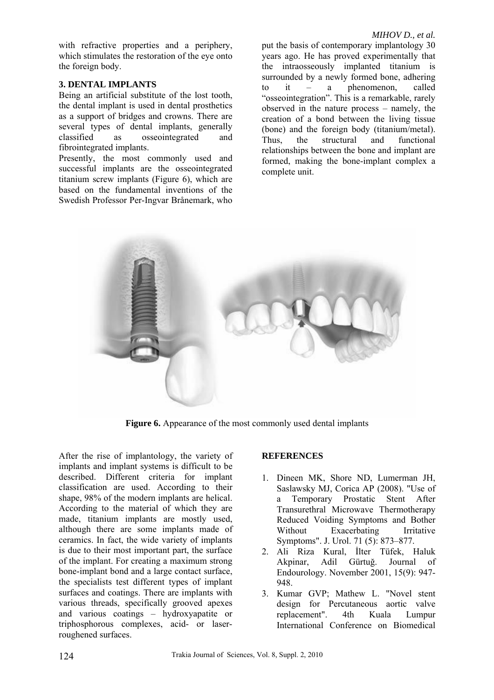with refractive properties and a periphery, which stimulates the restoration of the eye onto the foreign body.

## **3. DENTAL IMPLANTS**

Being an artificial substitute of the lost tooth, the dental implant is used in dental prosthetics as a support of bridges and crowns. There are several types of dental implants, generally classified as osseointegrated and fibrointegrated implants.

Presently, the most commonly used and successful implants are the osseointegrated titanium screw implants (Figure 6), which are based on the fundamental inventions of the Swedish Professor Per-Ingvar Brånemark, who

put the basis of contemporary implantology 30 years ago. He has proved experimentally that the intraosseously implanted titanium is surrounded by a newly formed bone, adhering to it – a phenomenon, called "osseointegration". This is a remarkable, rarely observed in the nature process – namely, the creation of a bond between the living tissue (bone) and the foreign body (titanium/metal). Thus, the structural and functional relationships between the bone and implant are formed, making the bone-implant complex a complete unit.



**Figure 6.** Appearance of the most commonly used dental implants

After the rise of implantology, the variety of implants and implant systems is difficult to be described. Different criteria for implant classification are used. According to their shape, 98% of the modern implants are helical. According to the material of which they are made, titanium implants are mostly used, although there are some implants made of ceramics. In fact, the wide variety of implants is due to their most important part, the surface of the implant. For creating a maximum strong bone-implant bond and a large contact surface, the specialists test different types of implant surfaces and coatings. There are implants with various threads, specifically grooved apexes and various coatings – hydroxyapatite or triphosphorous complexes, acid- or laserroughened surfaces.

## **REFERENCES**

- 1. Dineen MK, Shore ND, Lumerman JH, Saslawsky MJ, Corica AP (2008). "Use of a Temporary Prostatic Stent After Transurethral Microwave Thermotherapy Reduced Voiding Symptoms and Bother Without Exacerbating Irritative Symptoms". J. Urol. 71 (5): 873–877.
- 2. Ali Riza Kural, İlter Tüfek, Haluk Akpinar, Adil Gürtuğ. Journal of Endourology. November 2001, 15(9): 947- 948.
- 3. Kumar GVP; Mathew L. "Novel stent design for Percutaneous aortic valve replacement". 4th Kuala Lumpur International Conference on Biomedical